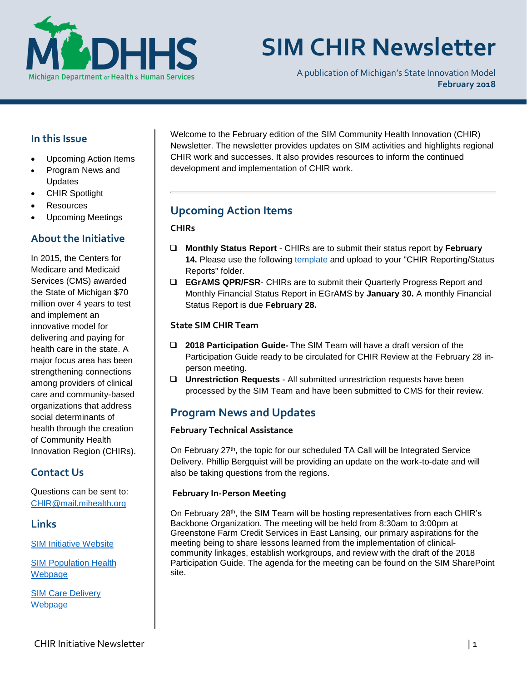

# **SIM CHIR Newsletter**

A publication of Michigan's State Innovation Model **February 2018**

## **In this Issue**

- Upcoming Action Items
- Program News and Updates
- CHIR Spotlight
- Resources
- Upcoming Meetings

## **About the Initiative**

In 2015, the Centers for Medicare and Medicaid Services (CMS) awarded the State of Michigan \$70 million over 4 years to test and implement an innovative model for delivering and paying for health care in the state. A major focus area has been strengthening connections among providers of clinical care and community-based organizations that address social determinants of health through the creation of Community Health Innovation Region (CHIRs).

## **Contact Us**

Questions can be sent to: [CHIR@mail.mihealth.org](mailto:CHIR@mail.mihealth.org)

## **Links**

[SIM Initiative Website](http://www.michigan.gov/mdhhs/0,5885,7-339-71551_2945_64491---,00.html)

[SIM Population Health](http://www.michigan.gov/mdhhs/0,5885,7-339-71551_2945_64491_76092_77453---,00.html)  [Webp](http://www.michigan.gov/mdhhs/0,5885,7-339-71551_2945_64491_76092_77453---,00.html)age

SIM [Care Delivery](http://www.michigan.gov/mdhhs/0,5885,7-339-71551_2945_64491_76092_77452---,00.html)  **[Webpage](http://www.michigan.gov/mdhhs/0,5885,7-339-71551_2945_64491_76092_77452---,00.html)** 

Welcome to the February edition of the SIM Community Health Innovation (CHIR) Newsletter. The newsletter provides updates on SIM activities and highlights regional CHIR work and successes. It also provides resources to inform the continued development and implementation of CHIR work.

## **Upcoming Action Items**

### **CHIRs**

- **Monthly Status Report** CHIRs are to submit their status report by **February 14.** Please use the following [template](https://stateofmichigan.sharepoint.com/teams/dhhs/bic/msacss/SIM/_layouts/15/WopiFrame.aspx?sourcedoc=%7b8960e28a-266a-4cfa-9648-81dfc7d62ba3%7d&action=edit&wdPid=1188cae2) and upload to your "CHIR Reporting/Status Reports" folder.
- **EGrAMS QPR/FSR** CHIRs are to submit their Quarterly Progress Report and Monthly Financial Status Report in EGrAMS by **January 30.** A monthly Financial Status Report is due **February 28.**

#### **State SIM CHIR Team**

- **2018 Participation Guide-** The SIM Team will have a draft version of the Participation Guide ready to be circulated for CHIR Review at the February 28 inperson meeting.
- **Unrestriction Requests** All submitted unrestriction requests have been processed by the SIM Team and have been submitted to CMS for their review.

## **Program News and Updates**

#### **February Technical Assistance**

On February 27<sup>th</sup>, the topic for our scheduled TA Call will be Integrated Service Delivery. Phillip Bergquist will be providing an update on the work-to-date and will also be taking questions from the regions.

#### **February In-Person Meeting**

On February 28th, the SIM Team will be hosting representatives from each CHIR's Backbone Organization. The meeting will be held from 8:30am to 3:00pm at Greenstone Farm Credit Services in East Lansing, our primary aspirations for the meeting being to share lessons learned from the implementation of clinicalcommunity linkages, establish workgroups, and review with the draft of the 2018 Participation Guide. The agenda for the meeting can be found on the SIM SharePoint site.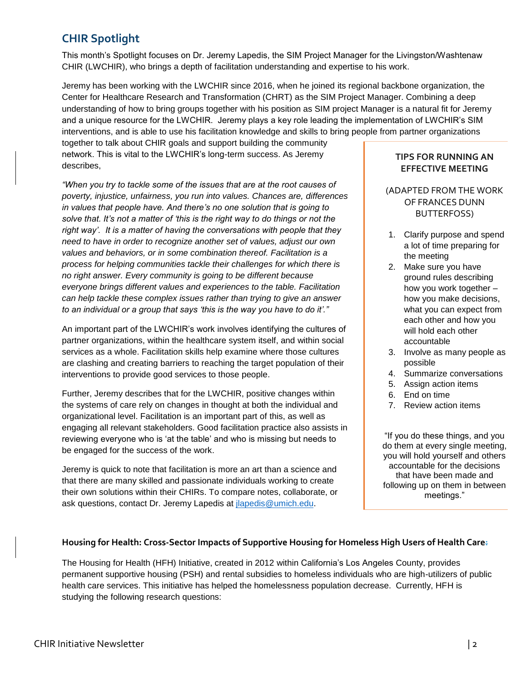# **CHIR Spotlight**

This month's Spotlight focuses on Dr. Jeremy Lapedis, the SIM Project Manager for the Livingston/Washtenaw CHIR (LWCHIR), who brings a depth of facilitation understanding and expertise to his work.

Jeremy has been working with the LWCHIR since 2016, when he joined its regional backbone organization, the Center for Healthcare Research and Transformation (CHRT) as the SIM Project Manager. Combining a deep understanding of how to bring groups together with his position as SIM project Manager is a natural fit for Jeremy and a unique resource for the LWCHIR. Jeremy plays a key role leading the implementation of LWCHIR's SIM interventions, and is able to use his facilitation knowledge and skills to bring people from partner organizations

together to talk about CHIR goals and support building the community network. This is vital to the LWCHIR's long-term success. As Jeremy describes,

*"When you try to tackle some of the issues that are at the root causes of poverty, injustice, unfairness, you run into values. Chances are, differences in values that people have. And there's no one solution that is going to solve that. It's not a matter of 'this is the right way to do things or not the right way'. It is a matter of having the conversations with people that they need to have in order to recognize another set of values, adjust our own values and behaviors, or in some combination thereof. Facilitation is a process for helping communities tackle their challenges for which there is no right answer. Every community is going to be different because everyone brings different values and experiences to the table. Facilitation can help tackle these complex issues rather than trying to give an answer to an individual or a group that says 'this is the way you have to do it'."*

An important part of the LWCHIR's work involves identifying the cultures of partner organizations, within the healthcare system itself, and within social services as a whole. Facilitation skills help examine where those cultures are clashing and creating barriers to reaching the target population of their interventions to provide good services to those people.

Further, Jeremy describes that for the LWCHIR, positive changes within the systems of care rely on changes in thought at both the individual and organizational level. Facilitation is an important part of this, as well as engaging all relevant stakeholders. Good facilitation practice also assists in reviewing everyone who is 'at the table' and who is missing but needs to be engaged for the success of the work.

Jeremy is quick to note that facilitation is more an art than a science and that there are many skilled and passionate individuals working to create their own solutions within their CHIRs. To compare notes, collaborate, or ask questions, contact Dr. Jeremy Lapedis at *jlapedis@umich.edu.* 

#### **TIPS FOR RUNNING AN EFFECTIVE MEETING**

#### (ADAPTED FROM THE WORK OF FRANCES DUNN BUTTERFOSS)

- 1. Clarify purpose and spend a lot of time preparing for the meeting
- 2. Make sure you have ground rules describing how you work together – how you make decisions, what you can expect from each other and how you will hold each other accountable
- 3. Involve as many people as possible
- 4. Summarize conversations
- 5. Assign action items
- 6. End on time
- 7. Review action items

"If you do these things, and you do them at every single meeting, you will hold yourself and others accountable for the decisions that have been made and following up on them in between meetings."

#### **Housing for Health: Cross-Sector Impacts of Supportive Housing for Homeless High Users of Health Care:**

The Housing for Health (HFH) Initiative, created in 2012 within California's Los Angeles County, provides permanent supportive housing (PSH) and rental subsidies to homeless individuals who are high-utilizers of public health care services. This initiative has helped the homelessness population decrease. Currently, HFH is studying the following research questions: